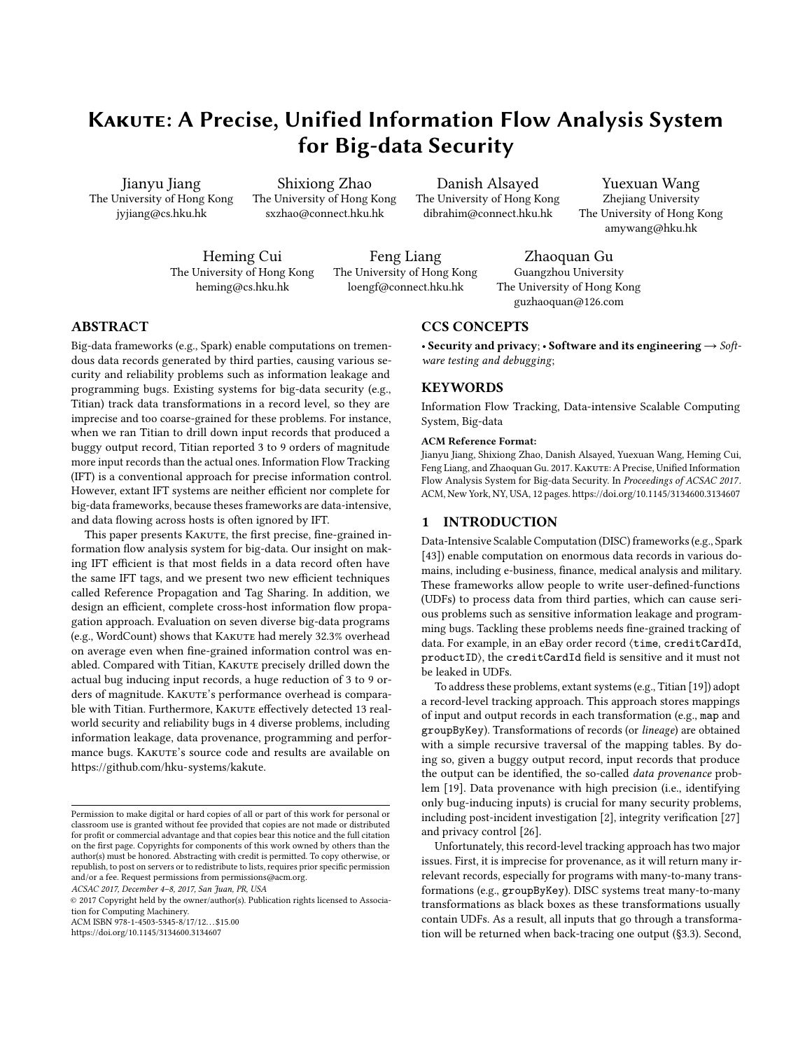# KAKUTE: A Precise, Unified Information Flow Analysis System for Big-data Security

Jianyu Jiang The University of Hong Kong jyjiang@cs.hku.hk

Shixiong Zhao The University of Hong Kong sxzhao@connect.hku.hk

Danish Alsayed The University of Hong Kong dibrahim@connect.hku.hk

Yuexuan Wang Zhejiang University The University of Hong Kong amywang@hku.hk

Heming Cui The University of Hong Kong heming@cs.hku.hk

Feng Liang The University of Hong Kong loengf@connect.hku.hk

Zhaoquan Gu Guangzhou University The University of Hong Kong guzhaoquan@126.com

# ABSTRACT

Big-data frameworks (e.g., Spark) enable computations on tremendous data records generated by third parties, causing various security and reliability problems such as information leakage and programming bugs. Existing systems for big-data security (e.g., Titian) track data transformations in a record level, so they are imprecise and too coarse-grained for these problems. For instance, when we ran Titian to drill down input records that produced a buggy output record, Titian reported 3 to 9 orders of magnitude more input records than the actual ones. Information Flow Tracking (IFT) is a conventional approach for precise information control. However, extant IFT systems are neither efficient nor complete for big-data frameworks, because theses frameworks are data-intensive, and data flowing across hosts is often ignored by IFT.

This paper presents KAKUTE, the first precise, fine-grained information flow analysis system for big-data. Our insight on making IFT efficient is that most fields in a data record often have the same IFT tags, and we present two new efficient techniques called Reference Propagation and Tag Sharing. In addition, we design an efficient, complete cross-host information flow propagation approach. Evaluation on seven diverse big-data programs (e.g., WordCount) shows that KAKUTE had merely 32.3% overhead on average even when fine-grained information control was enabled. Compared with Titian, KAKUTE precisely drilled down the actual bug inducing input records, a huge reduction of 3 to 9 orders of magnitude. KAKUTE's performance overhead is comparable with Titian. Furthermore, KAKUTE effectively detected 13 realworld security and reliability bugs in 4 diverse problems, including information leakage, data provenance, programming and performance bugs. KAKUTE's source code and results are available on [https://github.com/hku-systems/kakute.](https://github.com/hku-systems/kakute)

ACSAC 2017, December 4–8, 2017, San Juan, PR, USA

ACM ISBN 978-1-4503-5345-8/17/12. . . \$15.00 <https://doi.org/10.1145/3134600.3134607>

CCS CONCEPTS

• Security and privacy; • Software and its engineering  $\rightarrow$  Software testing and debugging;

# **KEYWORDS**

Information Flow Tracking, Data-intensive Scalable Computing System, Big-data

#### ACM Reference Format:

Jianyu Jiang, Shixiong Zhao, Danish Alsayed, Yuexuan Wang, Heming Cui, Feng Liang, and Zhaoquan Gu. 2017. KAKUTE: A Precise, Unified Information Flow Analysis System for Big-data Security. In Proceedings of ACSAC 2017. ACM, New York, NY, USA, [12](#page-11-0) pages.<https://doi.org/10.1145/3134600.3134607>

# 1 INTRODUCTION

Data-Intensive Scalable Computation (DISC) frameworks (e.g., Spark [\[43\]](#page-11-1)) enable computation on enormous data records in various domains, including e-business, finance, medical analysis and military. These frameworks allow people to write user-defined-functions (UDFs) to process data from third parties, which can cause serious problems such as sensitive information leakage and programming bugs. Tackling these problems needs fine-grained tracking of data. For example, in an eBay order record ⟨time, creditCardId, productID⟩, the creditCardId field is sensitive and it must not be leaked in UDFs.

To address these problems, extant systems (e.g., Titian [\[19\]](#page-11-2)) adopt a record-level tracking approach. This approach stores mappings of input and output records in each transformation (e.g., map and groupByKey). Transformations of records (or lineage) are obtained with a simple recursive traversal of the mapping tables. By doing so, given a buggy output record, input records that produce the output can be identified, the so-called *data provenance* problem [\[19\]](#page-11-2). Data provenance with high precision (i.e., identifying only bug-inducing inputs) is crucial for many security problems, including post-incident investigation [\[2\]](#page-11-3), integrity verification [\[27\]](#page-11-4) and privacy control [\[26\]](#page-11-5).

Unfortunately, this record-level tracking approach has two major issues. First, it is imprecise for provenance, as it will return many irrelevant records, especially for programs with many-to-many transformations (e.g., groupByKey). DISC systems treat many-to-many transformations as black boxes as these transformations usually contain UDFs. As a result, all inputs that go through a transformation will be returned when back-tracing one output ([§3.3\)](#page-2-0). Second,

Permission to make digital or hard copies of all or part of this work for personal or classroom use is granted without fee provided that copies are not made or distributed for profit or commercial advantage and that copies bear this notice and the full citation on the first page. Copyrights for components of this work owned by others than the author(s) must be honored. Abstracting with credit is permitted. To copy otherwise, or republish, to post on servers or to redistribute to lists, requires prior specific permission and/or a fee. Request permissions from permissions@acm.org.

<sup>©</sup> 2017 Copyright held by the owner/author(s). Publication rights licensed to Association for Computing Machinery.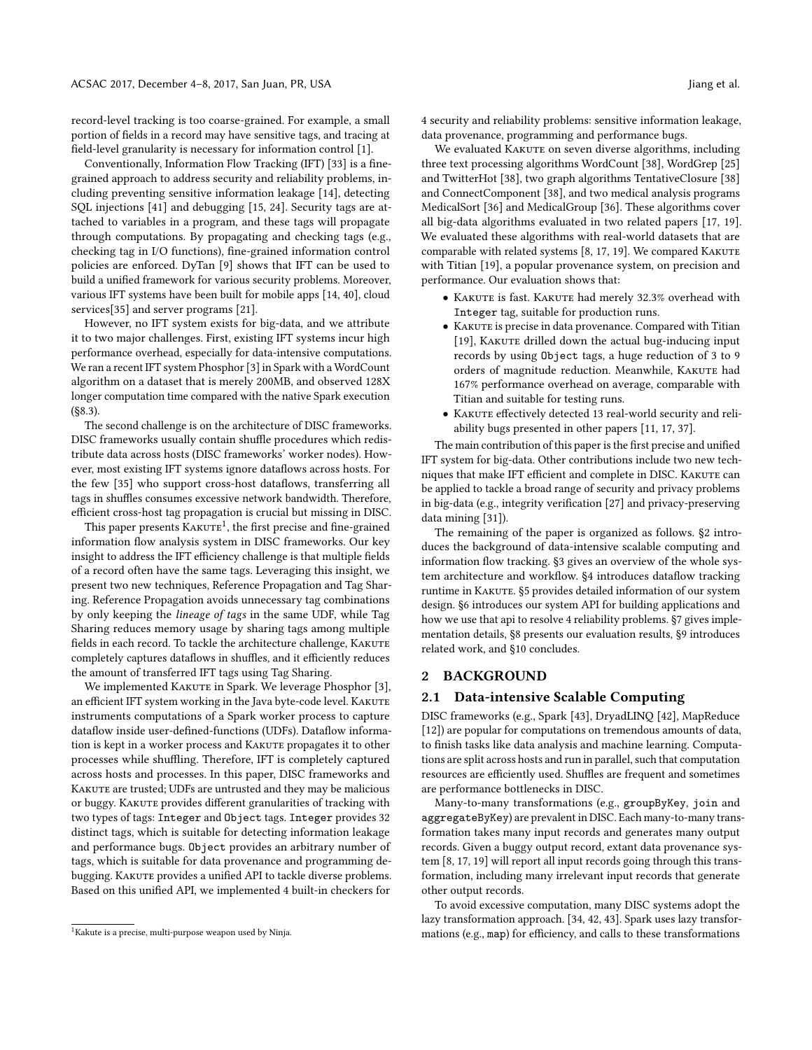record-level tracking is too coarse-grained. For example, a small portion of fields in a record may have sensitive tags, and tracing at field-level granularity is necessary for information control [\[1\]](#page-10-0).

Conventionally, Information Flow Tracking (IFT) [\[33\]](#page-11-6) is a finegrained approach to address security and reliability problems, including preventing sensitive information leakage [\[14\]](#page-11-7), detecting SQL injections [\[41\]](#page-11-8) and debugging [\[15,](#page-11-9) [24\]](#page-11-10). Security tags are attached to variables in a program, and these tags will propagate through computations. By propagating and checking tags (e.g., checking tag in I/O functions), fine-grained information control policies are enforced. DyTan [\[9\]](#page-11-11) shows that IFT can be used to build a unified framework for various security problems. Moreover, various IFT systems have been built for mobile apps [\[14,](#page-11-7) [40\]](#page-11-12), cloud services[\[35\]](#page-11-13) and server programs [\[21\]](#page-11-14).

However, no IFT system exists for big-data, and we attribute it to two major challenges. First, existing IFT systems incur high performance overhead, especially for data-intensive computations. We ran a recent IFT system Phosphor [\[3\]](#page-11-15) in Spark with a WordCount algorithm on a dataset that is merely 200MB, and observed 128X longer computation time compared with the native Spark execution ([§8.3\)](#page-8-0).

The second challenge is on the architecture of DISC frameworks. DISC frameworks usually contain shuffle procedures which redistribute data across hosts (DISC frameworks' worker nodes). However, most existing IFT systems ignore dataflows across hosts. For the few [\[35\]](#page-11-13) who support cross-host dataflows, transferring all tags in shuffles consumes excessive network bandwidth. Therefore, efficient cross-host tag propagation is crucial but missing in DISC.

This paper presents KAKUTE<sup>[1](#page-1-0)</sup>, the first precise and fine-grained information flow analysis system in DISC frameworks. Our key insight to address the IFT efficiency challenge is that multiple fields of a record often have the same tags. Leveraging this insight, we present two new techniques, Reference Propagation and Tag Sharing. Reference Propagation avoids unnecessary tag combinations by only keeping the lineage of tags in the same UDF, while Tag Sharing reduces memory usage by sharing tags among multiple fields in each record. To tackle the architecture challenge, KAKUTE completely captures dataflows in shuffles, and it efficiently reduces the amount of transferred IFT tags using Tag Sharing.

We implemented KAKUTE in Spark. We leverage Phosphor [\[3\]](#page-11-15), an efficient IFT system working in the Java byte-code level. KAKUTE instruments computations of a Spark worker process to capture dataflow inside user-defined-functions (UDFs). Dataflow information is kept in a worker process and KAKUTE propagates it to other processes while shuffling. Therefore, IFT is completely captured across hosts and processes. In this paper, DISC frameworks and KAKUTE are trusted; UDFs are untrusted and they may be malicious or buggy. KAKUTE provides different granularities of tracking with two types of tags: Integer and Object tags. Integer provides 32 distinct tags, which is suitable for detecting information leakage and performance bugs. Object provides an arbitrary number of tags, which is suitable for data provenance and programming debugging. KAKUTE provides a unified API to tackle diverse problems. Based on this unified API, we implemented 4 built-in checkers for

4 security and reliability problems: sensitive information leakage, data provenance, programming and performance bugs.

We evaluated KAKUTE on seven diverse algorithms, including three text processing algorithms WordCount [\[38\]](#page-11-16), WordGrep [\[25\]](#page-11-17) and TwitterHot [\[38\]](#page-11-16), two graph algorithms TentativeClosure [\[38\]](#page-11-16) and ConnectComponent [\[38\]](#page-11-16), and two medical analysis programs MedicalSort [\[36\]](#page-11-18) and MedicalGroup [\[36\]](#page-11-18). These algorithms cover all big-data algorithms evaluated in two related papers [\[17,](#page-11-19) [19\]](#page-11-2). We evaluated these algorithms with real-world datasets that are comparable with related systems  $[8, 17, 19]$  $[8, 17, 19]$  $[8, 17, 19]$  $[8, 17, 19]$  $[8, 17, 19]$ . We compared KAKUTE with Titian [\[19\]](#page-11-2), a popular provenance system, on precision and performance. Our evaluation shows that:

- Kakute is fast. Kakute had merely 32.3% overhead with Integer tag, suitable for production runs.
- KAKUTE is precise in data provenance. Compared with Titian [\[19\]](#page-11-2), KAKUTE drilled down the actual bug-inducing input records by using Object tags, a huge reduction of 3 to 9 orders of magnitude reduction. Meanwhile, KAKUTE had 167% performance overhead on average, comparable with Titian and suitable for testing runs.
- Kakute effectively detected 13 real-world security and reliability bugs presented in other papers [\[11,](#page-11-21) [17,](#page-11-19) [37\]](#page-11-22).

The main contribution of this paper is the first precise and unified IFT system for big-data. Other contributions include two new techniques that make IFT efficient and complete in DISC. KAKUTE can be applied to tackle a broad range of security and privacy problems in big-data (e.g., integrity verification [\[27\]](#page-11-4) and privacy-preserving data mining [\[31\]](#page-11-23)).

The remaining of the paper is organized as follows. [§2](#page-1-1) introduces the background of data-intensive scalable computing and information flow tracking. [§3](#page-2-1) gives an overview of the whole system architecture and workflow. [§4](#page-3-0) introduces dataflow tracking runtime in Каките. [§5](#page-4-0) provides detailed information of our system design. [§6](#page-5-0) introduces our system API for building applications and how we use that api to resolve 4 reliability problems. [§7](#page-6-0) gives implementation details, [§8](#page-7-0) presents our evaluation results, [§9](#page-10-1) introduces related work, and [§10](#page-10-2) concludes.

# <span id="page-1-1"></span>2 BACKGROUND

# <span id="page-1-2"></span>2.1 Data-intensive Scalable Computing

DISC frameworks (e.g., Spark [\[43\]](#page-11-1), DryadLINQ [\[42\]](#page-11-24), MapReduce [\[12\]](#page-11-25)) are popular for computations on tremendous amounts of data, to finish tasks like data analysis and machine learning. Computations are split across hosts and run in parallel, such that computation resources are efficiently used. Shuffles are frequent and sometimes are performance bottlenecks in DISC.

Many-to-many transformations (e.g., groupByKey, join and aggregateByKey) are prevalent in DISC. Each many-to-many transformation takes many input records and generates many output records. Given a buggy output record, extant data provenance system [\[8,](#page-11-20) [17,](#page-11-19) [19\]](#page-11-2) will report all input records going through this transformation, including many irrelevant input records that generate other output records.

To avoid excessive computation, many DISC systems adopt the lazy transformation approach. [\[34,](#page-11-26) [42,](#page-11-24) [43\]](#page-11-1). Spark uses lazy transformations (e.g., map) for efficiency, and calls to these transformations

<span id="page-1-0"></span><sup>1</sup>Kakute is a precise, multi-purpose weapon used by Ninja.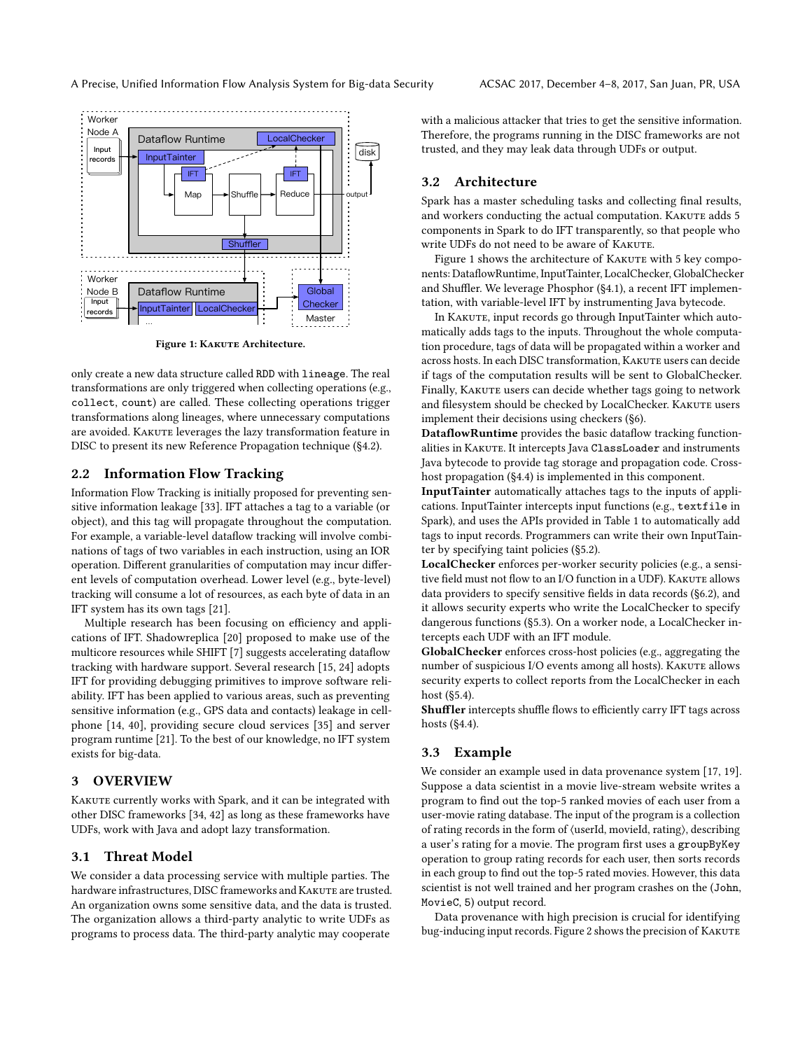<span id="page-2-2"></span>

Figure 1: KAKUTE Architecture.

only create a new data structure called RDD with lineage. The real transformations are only triggered when collecting operations (e.g., collect, count) are called. These collecting operations trigger transformations along lineages, where unnecessary computations are avoided. KAKUTE leverages the lazy transformation feature in DISC to present its new Reference Propagation technique ([§4.2\)](#page-3-1).

# 2.2 Information Flow Tracking

Information Flow Tracking is initially proposed for preventing sensitive information leakage [\[33\]](#page-11-6). IFT attaches a tag to a variable (or object), and this tag will propagate throughout the computation. For example, a variable-level dataflow tracking will involve combinations of tags of two variables in each instruction, using an IOR operation. Different granularities of computation may incur different levels of computation overhead. Lower level (e.g., byte-level) tracking will consume a lot of resources, as each byte of data in an IFT system has its own tags [\[21\]](#page-11-14).

Multiple research has been focusing on efficiency and applications of IFT. Shadowreplica [\[20\]](#page-11-27) proposed to make use of the multicore resources while SHIFT [\[7\]](#page-11-28) suggests accelerating dataflow tracking with hardware support. Several research [\[15,](#page-11-9) [24\]](#page-11-10) adopts IFT for providing debugging primitives to improve software reliability. IFT has been applied to various areas, such as preventing sensitive information (e.g., GPS data and contacts) leakage in cellphone [\[14,](#page-11-7) [40\]](#page-11-12), providing secure cloud services [\[35\]](#page-11-13) and server program runtime [\[21\]](#page-11-14). To the best of our knowledge, no IFT system exists for big-data.

# <span id="page-2-1"></span>3 OVERVIEW

KAKUTE currently works with Spark, and it can be integrated with other DISC frameworks [\[34,](#page-11-26) [42\]](#page-11-24) as long as these frameworks have UDFs, work with Java and adopt lazy transformation.

#### 3.1 Threat Model

We consider a data processing service with multiple parties. The hardware infrastructures, DISC frameworks and KAKUTE are trusted. An organization owns some sensitive data, and the data is trusted. The organization allows a third-party analytic to write UDFs as programs to process data. The third-party analytic may cooperate

with a malicious attacker that tries to get the sensitive information. Therefore, the programs running in the DISC frameworks are not trusted, and they may leak data through UDFs or output.

# 3.2 Architecture

Spark has a master scheduling tasks and collecting final results, and workers conducting the actual computation. KAKUTE adds 5 components in Spark to do IFT transparently, so that people who write UDFs do not need to be aware of KAKUTE.

Figure [1](#page-2-2) shows the architecture of KAKUTE with 5 key components: DataflowRuntime, InputTainter, LocalChecker, GlobalChecker and Shuffler. We leverage Phosphor ([§4.1\)](#page-3-2), a recent IFT implementation, with variable-level IFT by instrumenting Java bytecode.

In KAKUTE, input records go through InputTainter which automatically adds tags to the inputs. Throughout the whole computation procedure, tags of data will be propagated within a worker and across hosts. In each DISC transformation, KAKUTE users can decide if tags of the computation results will be sent to GlobalChecker. Finally, KAKUTE users can decide whether tags going to network and filesystem should be checked by LocalChecker. KAKUTE users implement their decisions using checkers ([§6\)](#page-5-0).

DataflowRuntime provides the basic dataflow tracking functionalities in KAKUTE. It intercepts Java ClassLoader and instruments Java bytecode to provide tag storage and propagation code. Crosshost propagation ([§4.4\)](#page-4-1) is implemented in this component.

InputTainter automatically attaches tags to the inputs of applications. InputTainter intercepts input functions (e.g., textfile in Spark), and uses the APIs provided in Table [1](#page-4-2) to automatically add tags to input records. Programmers can write their own InputTainter by specifying taint policies ([§5.2\)](#page-5-1).

LocalChecker enforces per-worker security policies (e.g., a sensitive field must not flow to an I/O function in a UDF). KAKUTE allows data providers to specify sensitive fields in data records ([§6.2\)](#page-5-2), and it allows security experts who write the LocalChecker to specify dangerous functions ([§5.3\)](#page-5-3). On a worker node, a LocalChecker intercepts each UDF with an IFT module.

GlobalChecker enforces cross-host policies (e.g., aggregating the number of suspicious I/O events among all hosts). KAKUTE allows security experts to collect reports from the LocalChecker in each host ([§5.4\)](#page-5-4).

Shuffler intercepts shuffle flows to efficiently carry IFT tags across hosts ([§4.4\)](#page-4-1).

# <span id="page-2-0"></span>3.3 Example

We consider an example used in data provenance system [\[17,](#page-11-19) [19\]](#page-11-2). Suppose a data scientist in a movie live-stream website writes a program to find out the top-5 ranked movies of each user from a user-movie rating database. The input of the program is a collection of rating records in the form of ⟨userId, movieId, rating⟩, describing a user's rating for a movie. The program first uses a groupByKey operation to group rating records for each user, then sorts records in each group to find out the top-5 rated movies. However, this data scientist is not well trained and her program crashes on the (John, MovieC, 5) output record.

Data provenance with high precision is crucial for identifying bug-inducing input records. Figure [2](#page-3-3) shows the precision of KAKUTE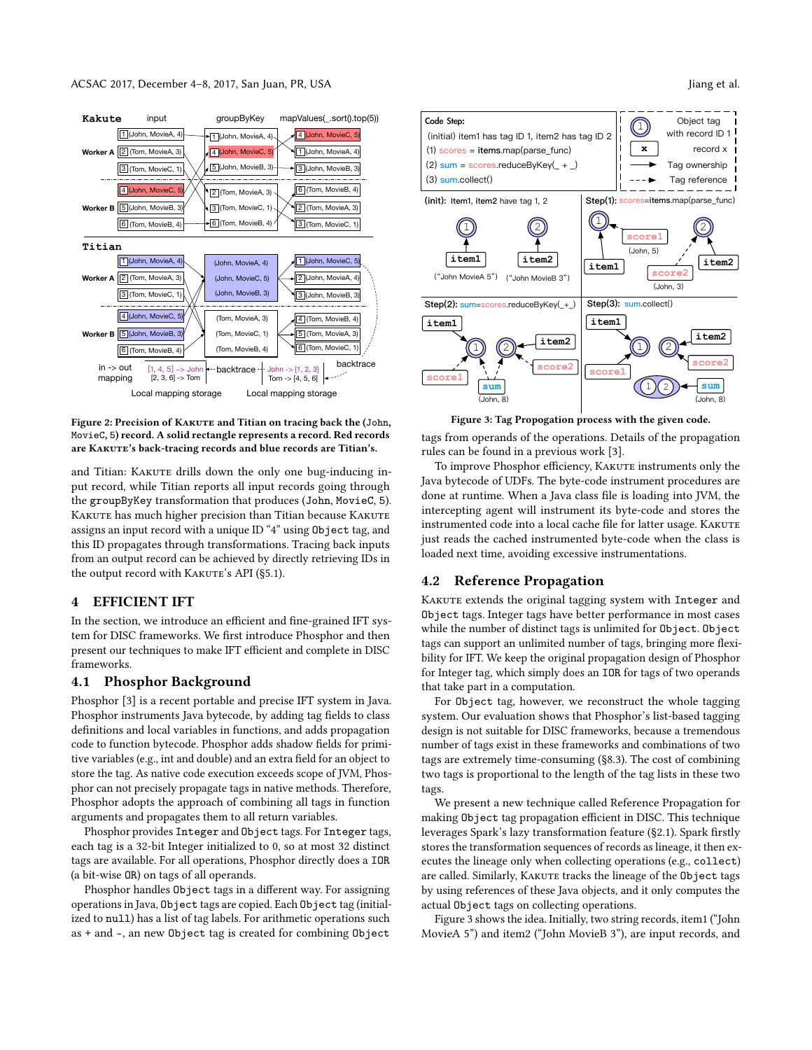<span id="page-3-3"></span>

Figure 2: Precision of KAKUTE and Titian on tracing back the (John, MovieC, 5) record. A solid rectangle represents a record. Red records are KAKUTE's back-tracing records and blue records are Titian's.

and Titian: KAKUTE drills down the only one bug-inducing input record, while Titian reports all input records going through the groupByKey transformation that produces (John, MovieC, 5). KAKUTE has much higher precision than Titian because KAKUTE assigns an input record with a unique ID "4" using Object tag, and this ID propagates through transformations. Tracing back inputs from an output record can be achieved by directly retrieving IDs in the output record with KAKUTE's API ([§5.1\)](#page-5-5).

# <span id="page-3-0"></span>4 EFFICIENT IFT

In the section, we introduce an efficient and fine-grained IFT system for DISC frameworks. We first introduce Phosphor and then present our techniques to make IFT efficient and complete in DISC frameworks.

# <span id="page-3-2"></span>4.1 Phosphor Background

Phosphor [\[3\]](#page-11-15) is a recent portable and precise IFT system in Java. Phosphor instruments Java bytecode, by adding tag fields to class definitions and local variables in functions, and adds propagation code to function bytecode. Phosphor adds shadow fields for primitive variables (e.g., int and double) and an extra field for an object to store the tag. As native code execution exceeds scope of JVM, Phosphor can not precisely propagate tags in native methods. Therefore, Phosphor adopts the approach of combining all tags in function arguments and propagates them to all return variables.

Phosphor provides Integer and Object tags. For Integer tags, each tag is a 32-bit Integer initialized to 0, so at most 32 distinct tags are available. For all operations, Phosphor directly does a IOR (a bit-wise OR) on tags of all operands.

Phosphor handles Object tags in a different way. For assigning operations in Java, Object tags are copied. Each Object tag (initialized to null) has a list of tag labels. For arithmetic operations such as + and -, an new Object tag is created for combining Object

<span id="page-3-4"></span>

Figure 3: Tag Propogation process with the given code.

tags from operands of the operations. Details of the propagation rules can be found in a previous work [\[3\]](#page-11-15).

To improve Phosphor efficiency, KAKUTE instruments only the Java bytecode of UDFs. The byte-code instrument procedures are done at runtime. When a Java class file is loading into JVM, the intercepting agent will instrument its byte-code and stores the instrumented code into a local cache file for latter usage. KAKUTE just reads the cached instrumented byte-code when the class is loaded next time, avoiding excessive instrumentations.

# <span id="page-3-1"></span>4.2 Reference Propagation

KAKUTE extends the original tagging system with Integer and Object tags. Integer tags have better performance in most cases while the number of distinct tags is unlimited for Object. Object tags can support an unlimited number of tags, bringing more flexibility for IFT. We keep the original propagation design of Phosphor for Integer tag, which simply does an IOR for tags of two operands that take part in a computation.

For Object tag, however, we reconstruct the whole tagging system. Our evaluation shows that Phosphor's list-based tagging design is not suitable for DISC frameworks, because a tremendous number of tags exist in these frameworks and combinations of two tags are extremely time-consuming ([§8.3\)](#page-8-0). The cost of combining two tags is proportional to the length of the tag lists in these two tags.

We present a new technique called Reference Propagation for making Object tag propagation efficient in DISC. This technique leverages Spark's lazy transformation feature ([§2.1\)](#page-1-2). Spark firstly stores the transformation sequences of records as lineage, it then executes the lineage only when collecting operations (e.g., collect) are called. Similarly, KAKUTE tracks the lineage of the Object tags by using references of these Java objects, and it only computes the actual Object tags on collecting operations.

Figure [3](#page-3-4) shows the idea. Initially, two string records, item1 ("John MovieA 5") and item2 ("John MovieB 3"), are input records, and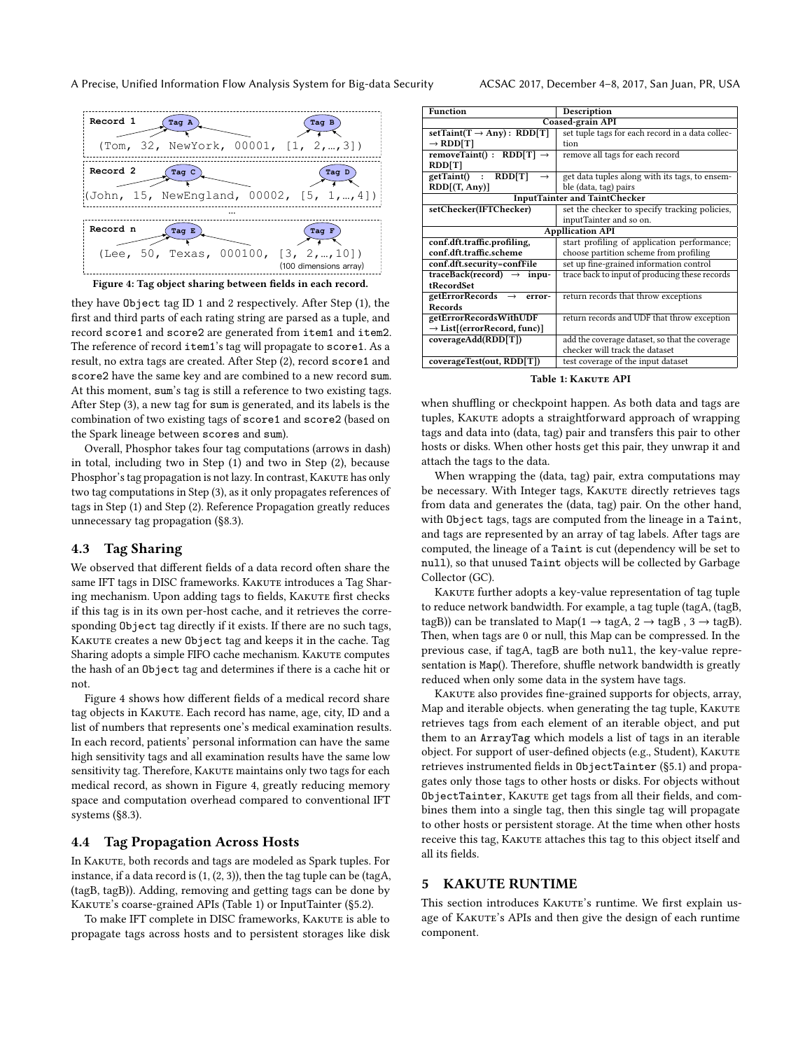#### A Precise, Unified Information Flow Analysis System for Big-data Security ACSAC 2017, December 4–8, 2017, San Juan, PR, USA

<span id="page-4-3"></span>

they have Object tag ID 1 and 2 respectively. After Step (1), the first and third parts of each rating string are parsed as a tuple, and record score1 and score2 are generated from item1 and item2. The reference of record item1's tag will propagate to score1. As a result, no extra tags are created. After Step (2), record score1 and score2 have the same key and are combined to a new record sum. At this moment, sum's tag is still a reference to two existing tags. After Step (3), a new tag for sum is generated, and its labels is the combination of two existing tags of score1 and score2 (based on the Spark lineage between scores and sum).

Overall, Phosphor takes four tag computations (arrows in dash) in total, including two in Step (1) and two in Step (2), because Phosphor's tag propagation is not lazy. In contrast, KAKUTE has only two tag computations in Step (3), as it only propagates references of tags in Step (1) and Step (2). Reference Propagation greatly reduces unnecessary tag propagation ([§8.3\)](#page-8-0).

# <span id="page-4-4"></span>4.3 Tag Sharing

We observed that different fields of a data record often share the same IFT tags in DISC frameworks. KAKUTE introduces a Tag Sharing mechanism. Upon adding tags to fields, KAKUTE first checks if this tag is in its own per-host cache, and it retrieves the corresponding Object tag directly if it exists. If there are no such tags, KAKUTE creates a new Object tag and keeps it in the cache. Tag Sharing adopts a simple FIFO cache mechanism. KAKUTE computes the hash of an Object tag and determines if there is a cache hit or not.

Figure [4](#page-4-3) shows how different fields of a medical record share tag objects in KAKUTE. Each record has name, age, city, ID and a list of numbers that represents one's medical examination results. In each record, patients' personal information can have the same high sensitivity tags and all examination results have the same low sensitivity tag. Therefore, KAKUTE maintains only two tags for each medical record, as shown in Figure [4,](#page-4-3) greatly reducing memory space and computation overhead compared to conventional IFT systems ([§8.3\)](#page-8-0).

# <span id="page-4-1"></span>4.4 Tag Propagation Across Hosts

In KAKUTE, both records and tags are modeled as Spark tuples. For instance, if a data record is (1, (2, 3)), then the tag tuple can be (tagA, (tagB, tagB)). Adding, removing and getting tags can be done by KAKUTE's coarse-grained APIs (Table [1\)](#page-4-2) or InputTainter ([§5.2\)](#page-5-1).

To make IFT complete in DISC frameworks, KAKUTE is able to propagate tags across hosts and to persistent storages like disk

<span id="page-4-2"></span>

| <b>Function</b>                         | Description                                      |  |  |
|-----------------------------------------|--------------------------------------------------|--|--|
| Coased-grain API                        |                                                  |  |  |
| setTaint(T $\rightarrow$ Any): RDD[T]   | set tuple tags for each record in a data collec- |  |  |
| $\rightarrow$ RDD[T]                    | tion                                             |  |  |
| removeTaint() : RDD[T] $\rightarrow$    | remove all tags for each record                  |  |  |
| RDD[T]                                  |                                                  |  |  |
| RDD[T]<br>getTaint() :<br>$\rightarrow$ | get data tuples along with its tags, to ensem-   |  |  |
| RDD[(T, Any)]                           | ble (data, tag) pairs                            |  |  |
| <b>InputTainter and TaintChecker</b>    |                                                  |  |  |
| setChecker(IFTChecker)                  | set the checker to specify tracking policies,    |  |  |
|                                         | inputTainter and so on.                          |  |  |
| <b>Appllication API</b>                 |                                                  |  |  |
| conf.dft.traffic.profiling,             | start profiling of application performance;      |  |  |
| conf.dft.traffic.scheme                 | choose partition scheme from profiling           |  |  |
| conf.dft.security=confFile              | set up fine-grained information control          |  |  |
| traceBack(record) $\rightarrow$ inpu-   | trace back to input of producing these records   |  |  |
| tRecordSet                              |                                                  |  |  |
| getErrorRecords $\rightarrow$<br>error- | return records that throw exceptions             |  |  |
| Records                                 |                                                  |  |  |
| getErrorRecordsWithUDF                  | return records and UDF that throw exception      |  |  |
| $\rightarrow$ List[(errorRecord, func)] |                                                  |  |  |
| coverageAdd(RDD[T])                     | add the coverage dataset, so that the coverage   |  |  |
|                                         | checker will track the dataset                   |  |  |
| coverageTest(out, RDD[T])               | test coverage of the input dataset               |  |  |

Table 1: Kakute API

when shuffling or checkpoint happen. As both data and tags are tuples, KAKUTE adopts a straightforward approach of wrapping tags and data into (data, tag) pair and transfers this pair to other hosts or disks. When other hosts get this pair, they unwrap it and attach the tags to the data.

When wrapping the (data, tag) pair, extra computations may be necessary. With Integer tags, KAKUTE directly retrieves tags from data and generates the (data, tag) pair. On the other hand, with Object tags, tags are computed from the lineage in a Taint, and tags are represented by an array of tag labels. After tags are computed, the lineage of a Taint is cut (dependency will be set to null), so that unused Taint objects will be collected by Garbage Collector (GC).

KAKUTE further adopts a key-value representation of tag tuple to reduce network bandwidth. For example, a tag tuple (tagA, (tagB, tagB)) can be translated to Map( $1 \rightarrow$  tagA,  $2 \rightarrow$  tagB,  $3 \rightarrow$  tagB). Then, when tags are 0 or null, this Map can be compressed. In the previous case, if tagA, tagB are both null, the key-value representation is Map(). Therefore, shuffle network bandwidth is greatly reduced when only some data in the system have tags.

KAKUTE also provides fine-grained supports for objects, array, Map and iterable objects. when generating the tag tuple, KAKUTE retrieves tags from each element of an iterable object, and put them to an ArrayTag which models a list of tags in an iterable object. For support of user-defined objects (e.g., Student), KAKUTE retrieves instrumented fields in ObjectTainter ([§5.1\)](#page-5-5) and propagates only those tags to other hosts or disks. For objects without ObjectTainter, KAKUTE get tags from all their fields, and combines them into a single tag, then this single tag will propagate to other hosts or persistent storage. At the time when other hosts receive this tag, KAKUTE attaches this tag to this object itself and all its fields.

#### <span id="page-4-0"></span>5 KAKUTE RUNTIME

This section introduces KAKUTE's runtime. We first explain usage of KAKUTE's APIs and then give the design of each runtime component.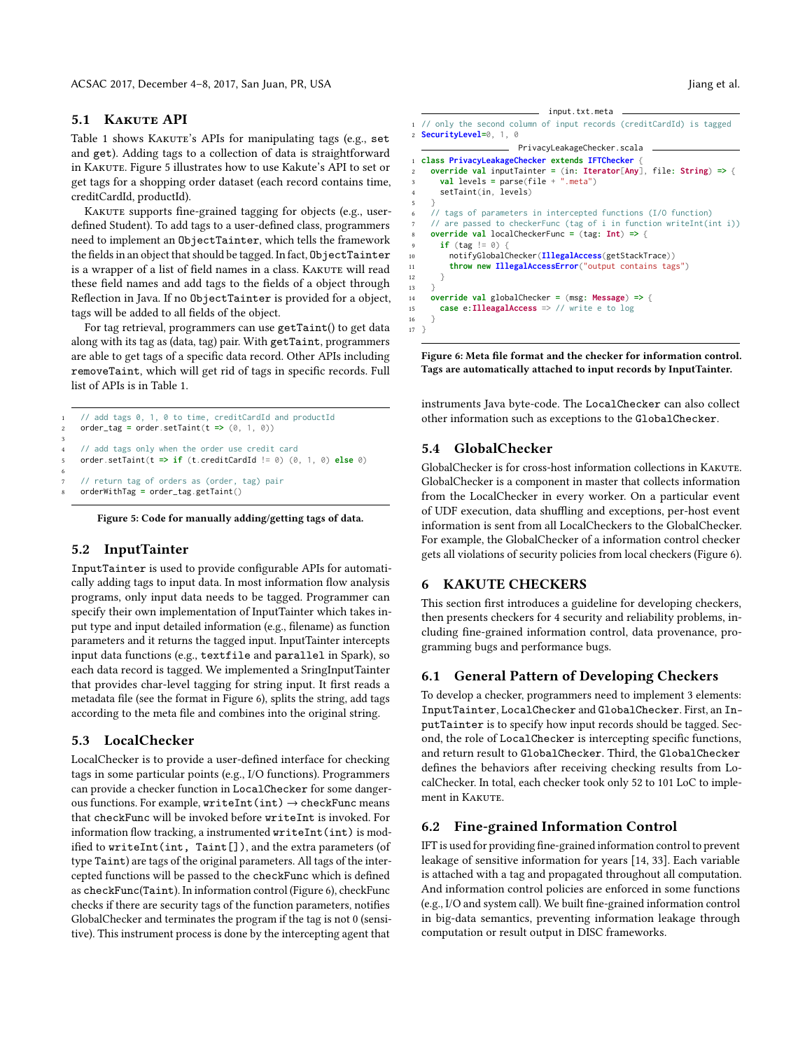# <span id="page-5-5"></span>5.1 KAKUTE API

Table [1](#page-4-2) shows KAKUTE's APIs for manipulating tags (e.g., set and get). Adding tags to a collection of data is straightforward in Kakute. Figure [5](#page-5-6) illustrates how to use Kakute's API to set or get tags for a shopping order dataset (each record contains time, creditCardId, productId).

KAKUTE supports fine-grained tagging for objects (e.g., userdefined Student). To add tags to a user-defined class, programmers need to implement an ObjectTainter, which tells the framework the fields in an object that should be tagged. In fact, ObjectTainter is a wrapper of a list of field names in a class. KAKUTE will read these field names and add tags to the fields of a object through Reflection in Java. If no ObjectTainter is provided for a object, tags will be added to all fields of the object.

For tag retrieval, programmers can use getTaint() to get data along with its tag as (data, tag) pair. With getTaint, programmers are able to get tags of a specific data record. Other APIs including removeTaint, which will get rid of tags in specific records. Full list of APIs is in Table [1.](#page-4-2)

```
// add tags 0, 1, 0 to time, creditCardId and productId
   2 order_tag = order.setTaint(t => (0, 1, 0))
3
    // add tags only when the order use credit card
   5 order.setTaint(t => if (t.creditCardId != 0) (0, 1, 0) else 0)
6
    // return tag of orders as (order, tag) pair
   8 orderWithTag = order_tag.getTaint()
```
Figure 5: Code for manually adding/getting tags of data.

# <span id="page-5-1"></span>5.2 InputTainter

InputTainter is used to provide configurable APIs for automatically adding tags to input data. In most information flow analysis programs, only input data needs to be tagged. Programmer can specify their own implementation of InputTainter which takes input type and input detailed information (e.g., filename) as function parameters and it returns the tagged input. InputTainter intercepts input data functions (e.g., textfile and parallel in Spark), so each data record is tagged. We implemented a SringInputTainter that provides char-level tagging for string input. It first reads a metadata file (see the format in Figure [6\)](#page-5-7), splits the string, add tags according to the meta file and combines into the original string.

# <span id="page-5-3"></span>5.3 LocalChecker

LocalChecker is to provide a user-defined interface for checking tags in some particular points (e.g., I/O functions). Programmers can provide a checker function in LocalChecker for some dangerous functions. For example, writeInt(int)  $\rightarrow$  checkFunc means that checkFunc will be invoked before writeInt is invoked. For information flow tracking, a instrumented writeInt(int) is modified to writeInt(int, Taint[]), and the extra parameters (of type Taint) are tags of the original parameters. All tags of the intercepted functions will be passed to the checkFunc which is defined as checkFunc(Taint). In information control (Figure [6\)](#page-5-7), checkFunc checks if there are security tags of the function parameters, notifies GlobalChecker and terminates the program if the tag is not 0 (sensitive). This instrument process is done by the intercepting agent that

<span id="page-5-7"></span>

Figure 6: Meta file format and the checker for information control. Tags are automatically attached to input records by InputTainter.

instruments Java byte-code. The LocalChecker can also collect other information such as exceptions to the GlobalChecker.

# <span id="page-5-4"></span>5.4 GlobalChecker

GlobalChecker is for cross-host information collections in KAKUTE. GlobalChecker is a component in master that collects information from the LocalChecker in every worker. On a particular event of UDF execution, data shuffling and exceptions, per-host event information is sent from all LocalCheckers to the GlobalChecker. For example, the GlobalChecker of a information control checker gets all violations of security policies from local checkers (Figure [6\)](#page-5-7).

# <span id="page-5-0"></span>6 KAKUTE CHECKERS

This section first introduces a guideline for developing checkers, then presents checkers for 4 security and reliability problems, including fine-grained information control, data provenance, programming bugs and performance bugs.

#### 6.1 General Pattern of Developing Checkers

To develop a checker, programmers need to implement 3 elements: InputTainter, LocalChecker and GlobalChecker. First, an InputTainter is to specify how input records should be tagged. Second, the role of LocalChecker is intercepting specific functions, and return result to GlobalChecker. Third, the GlobalChecker defines the behaviors after receiving checking results from LocalChecker. In total, each checker took only 52 to 101 LoC to implement in KAKUTE.

# <span id="page-5-2"></span>6.2 Fine-grained Information Control

IFT is used for providing fine-grained information control to prevent leakage of sensitive information for years [\[14,](#page-11-7) [33\]](#page-11-6). Each variable is attached with a tag and propagated throughout all computation. And information control policies are enforced in some functions (e.g., I/O and system call). We built fine-grained information control in big-data semantics, preventing information leakage through computation or result output in DISC frameworks.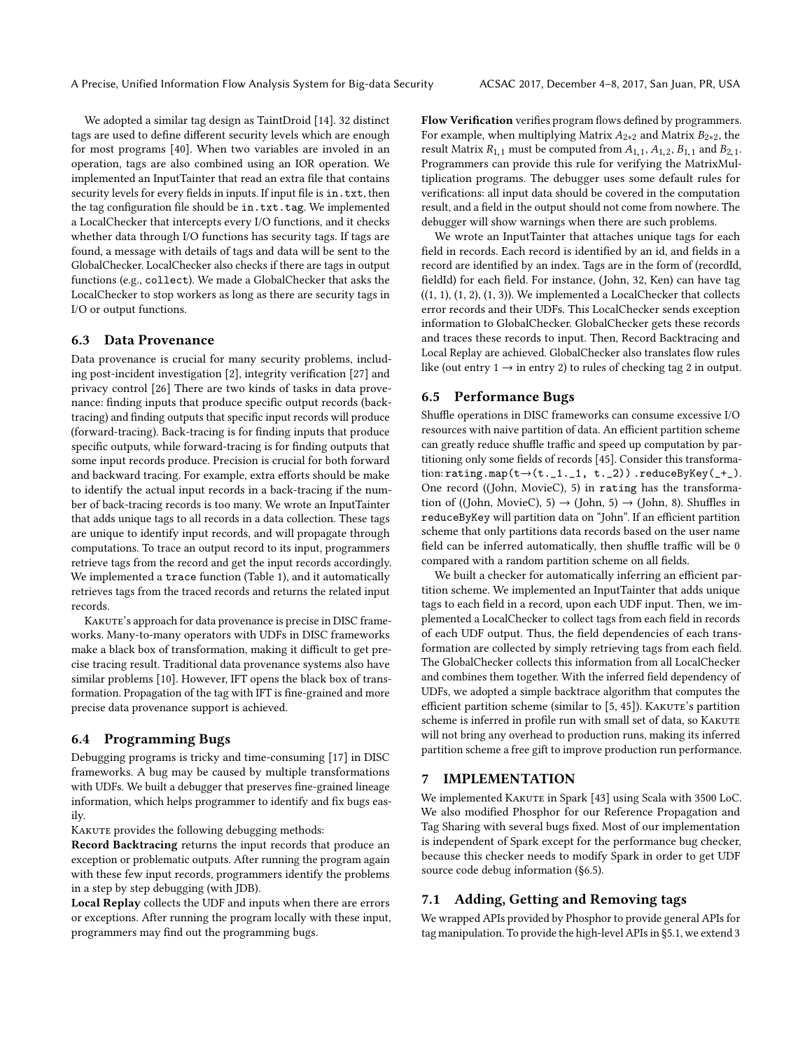We adopted a similar tag design as TaintDroid [\[14\]](#page-11-7). 32 distinct tags are used to define different security levels which are enough for most programs [\[40\]](#page-11-12). When two variables are involed in an operation, tags are also combined using an IOR operation. We implemented an InputTainter that read an extra file that contains security levels for every fields in inputs. If input file is in.txt, then the tag configuration file should be in.txt.tag. We implemented a LocalChecker that intercepts every I/O functions, and it checks whether data through I/O functions has security tags. If tags are found, a message with details of tags and data will be sent to the GlobalChecker. LocalChecker also checks if there are tags in output functions (e.g., collect). We made a GlobalChecker that asks the LocalChecker to stop workers as long as there are security tags in I/O or output functions.

#### 6.3 Data Provenance

Data provenance is crucial for many security problems, including post-incident investigation [\[2\]](#page-11-3), integrity verification [\[27\]](#page-11-4) and privacy control [\[26\]](#page-11-5) There are two kinds of tasks in data provenance: finding inputs that produce specific output records (backtracing) and finding outputs that specific input records will produce (forward-tracing). Back-tracing is for finding inputs that produce specific outputs, while forward-tracing is for finding outputs that some input records produce. Precision is crucial for both forward and backward tracing. For example, extra efforts should be make to identify the actual input records in a back-tracing if the number of back-tracing records is too many. We wrote an InputTainter that adds unique tags to all records in a data collection. These tags are unique to identify input records, and will propagate through computations. To trace an output record to its input, programmers retrieve tags from the record and get the input records accordingly. We implemented a trace function (Table [1\)](#page-4-2), and it automatically retrieves tags from the traced records and returns the related input records.

KAKUTE's approach for data provenance is precise in DISC frameworks. Many-to-many operators with UDFs in DISC frameworks make a black box of transformation, making it difficult to get precise tracing result. Traditional data provenance systems also have similar problems [\[10\]](#page-11-29). However, IFT opens the black box of transformation. Propagation of the tag with IFT is fine-grained and more precise data provenance support is achieved.

### 6.4 Programming Bugs

Debugging programs is tricky and time-consuming [\[17\]](#page-11-19) in DISC frameworks. A bug may be caused by multiple transformations with UDFs. We built a debugger that preserves fine-grained lineage information, which helps programmer to identify and fix bugs easily.

KAKUTE provides the following debugging methods:

Record Backtracing returns the input records that produce an exception or problematic outputs. After running the program again with these few input records, programmers identify the problems in a step by step debugging (with JDB).

Local Replay collects the UDF and inputs when there are errors or exceptions. After running the program locally with these input, programmers may find out the programming bugs.

Flow Verification verifies program flows defined by programmers. For example, when multiplying Matrix  $A_{2*2}$  and Matrix  $B_{2*2}$ , the result Matrix  $R_{1,1}$  must be computed from  $A_{1,1}$ ,  $A_{1,2}$ ,  $B_{1,1}$  and  $B_{2,1}$ . Programmers can provide this rule for verifying the MatrixMultiplication programs. The debugger uses some default rules for verifications: all input data should be covered in the computation result, and a field in the output should not come from nowhere. The debugger will show warnings when there are such problems.

We wrote an InputTainter that attaches unique tags for each field in records. Each record is identified by an id, and fields in a record are identified by an index. Tags are in the form of (recordId, fieldId) for each field. For instance, (John, 32, Ken) can have tag  $((1, 1), (1, 2), (1, 3))$ . We implemented a LocalChecker that collects error records and their UDFs. This LocalChecker sends exception information to GlobalChecker. GlobalChecker gets these records and traces these records to input. Then, Record Backtracing and Local Replay are achieved. GlobalChecker also translates flow rules like (out entry  $1 \rightarrow$  in entry 2) to rules of checking tag 2 in output.

#### <span id="page-6-1"></span>6.5 Performance Bugs

Shuffle operations in DISC frameworks can consume excessive I/O resources with naive partition of data. An efficient partition scheme can greatly reduce shuffle traffic and speed up computation by partitioning only some fields of records [\[45\]](#page-11-30). Consider this transformation:  $\text{rating}.\text{map}(\text{t}\rightarrow(\text{t.1.1, t.2}))$ .  $\text{reduceByKey}(\text{-+})$ . One record ((John, MovieC), 5) in rating has the transformation of ((John, MovieC), 5)  $\rightarrow$  (John, 5)  $\rightarrow$  (John, 8). Shuffles in reduceByKey will partition data on "John". If an efficient partition scheme that only partitions data records based on the user name field can be inferred automatically, then shuffle traffic will be 0 compared with a random partition scheme on all fields.

We built a checker for automatically inferring an efficient partition scheme. We implemented an InputTainter that adds unique tags to each field in a record, upon each UDF input. Then, we implemented a LocalChecker to collect tags from each field in records of each UDF output. Thus, the field dependencies of each transformation are collected by simply retrieving tags from each field. The GlobalChecker collects this information from all LocalChecker and combines them together. With the inferred field dependency of UDFs, we adopted a simple backtrace algorithm that computes the efficient partition scheme (similar to [\[5,](#page-11-31) [45\]](#page-11-30)). KAKUTE's partition scheme is inferred in profile run with small set of data, so KAKUTE will not bring any overhead to production runs, making its inferred partition scheme a free gift to improve production run performance.

# <span id="page-6-0"></span>7 IMPLEMENTATION

We implemented KAKUTE in Spark [\[43\]](#page-11-1) using Scala with 3500 LoC. We also modified Phosphor for our Reference Propagation and Tag Sharing with several bugs fixed. Most of our implementation is independent of Spark except for the performance bug checker, because this checker needs to modify Spark in order to get UDF source code debug information ([§6.5\)](#page-6-1).

#### 7.1 Adding, Getting and Removing tags

We wrapped APIs provided by Phosphor to provide general APIs for tag manipulation. To provide the high-level APIs in [§5.1,](#page-5-5) we extend 3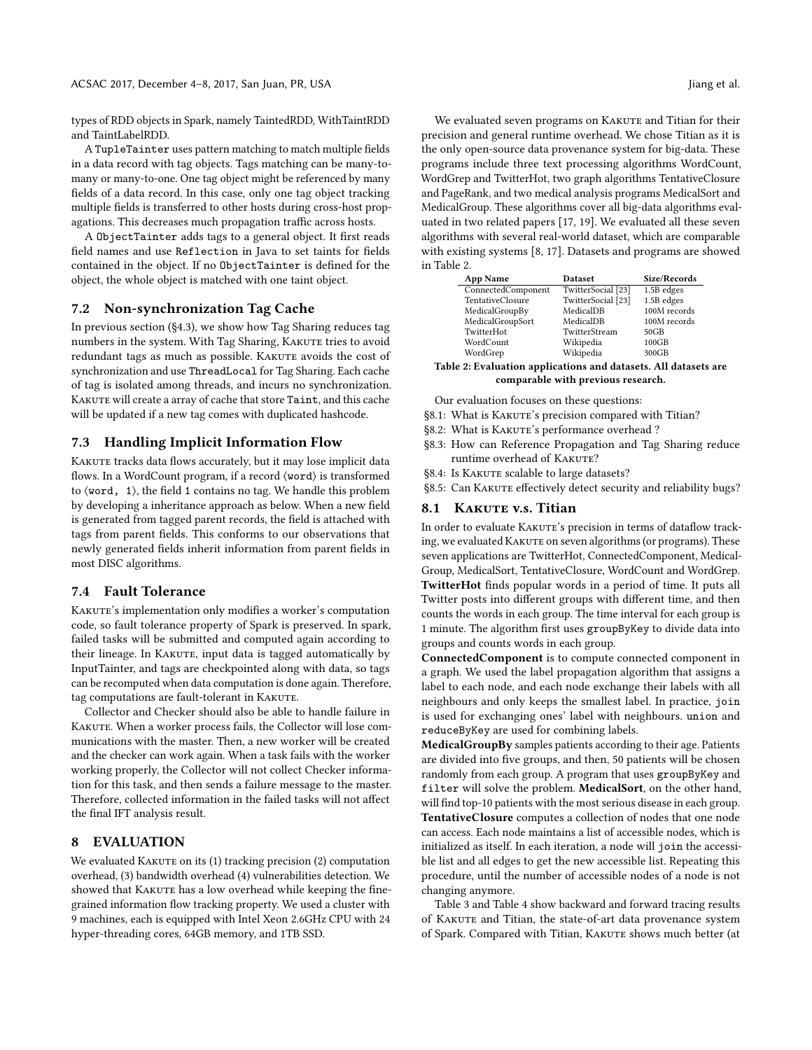types of RDD objects in Spark, namely TaintedRDD, WithTaintRDD and TaintLabelRDD.

A TupleTainter uses pattern matching to match multiple fields in a data record with tag objects. Tags matching can be many-tomany or many-to-one. One tag object might be referenced by many fields of a data record. In this case, only one tag object tracking multiple fields is transferred to other hosts during cross-host propagations. This decreases much propagation traffic across hosts.

A ObjectTainter adds tags to a general object. It first reads field names and use Reflection in Java to set taints for fields contained in the object. If no ObjectTainter is defined for the object, the whole object is matched with one taint object.

#### 7.2 Non-synchronization Tag Cache

In previous section ([§4.3\)](#page-4-4), we show how Tag Sharing reduces tag numbers in the system. With Tag Sharing, KAKUTE tries to avoid redundant tags as much as possible. KAKUTE avoids the cost of synchronization and use ThreadLocal for Tag Sharing. Each cache of tag is isolated among threads, and incurs no synchronization. KAKUTE will create a array of cache that store Taint, and this cache will be updated if a new tag comes with duplicated hashcode.

# 7.3 Handling Implicit Information Flow

KAKUTE tracks data flows accurately, but it may lose implicit data flows. In a WordCount program, if a record  $\langle$ word $\rangle$  is transformed to ⟨word, 1⟩, the field 1 contains no tag. We handle this problem by developing a inheritance approach as below. When a new field is generated from tagged parent records, the field is attached with tags from parent fields. This conforms to our observations that newly generated fields inherit information from parent fields in most DISC algorithms.

# 7.4 Fault Tolerance

KAKUTE's implementation only modifies a worker's computation code, so fault tolerance property of Spark is preserved. In spark, failed tasks will be submitted and computed again according to their lineage. In KAKUTE, input data is tagged automatically by InputTainter, and tags are checkpointed along with data, so tags can be recomputed when data computation is done again. Therefore, tag computations are fault-tolerant in KAKUTE.

Collector and Checker should also be able to handle failure in KAKUTE. When a worker process fails, the Collector will lose communications with the master. Then, a new worker will be created and the checker can work again. When a task fails with the worker working properly, the Collector will not collect Checker information for this task, and then sends a failure message to the master. Therefore, collected information in the failed tasks will not affect the final IFT analysis result.

# <span id="page-7-0"></span>8 EVALUATION

We evaluated KAKUTE on its (1) tracking precision (2) computation overhead, (3) bandwidth overhead (4) vulnerabilities detection. We showed that KAKUTE has a low overhead while keeping the finegrained information flow tracking property. We used a cluster with 9 machines, each is equipped with Intel Xeon 2.6GHz CPU with 24 hyper-threading cores, 64GB memory, and 1TB SSD.

We evaluated seven programs on KAKUTE and Titian for their precision and general runtime overhead. We chose Titian as it is the only open-source data provenance system for big-data. These programs include three text processing algorithms WordCount, WordGrep and TwitterHot, two graph algorithms TentativeClosure and PageRank, and two medical analysis programs MedicalSort and MedicalGroup. These algorithms cover all big-data algorithms evaluated in two related papers [\[17,](#page-11-19) [19\]](#page-11-2). We evaluated all these seven algorithms with several real-world dataset, which are comparable with existing systems [\[8,](#page-11-20) [17\]](#page-11-19). Datasets and programs are showed in Table [2.](#page-7-1)

<span id="page-7-1"></span>

| <b>App Name</b>         | <b>Dataset</b>     | Size/Records |  |  |
|-------------------------|--------------------|--------------|--|--|
| ConnectedComponent      | TwitterSocial [23] | 1.5B edges   |  |  |
| <b>TentativeClosure</b> | TwitterSocial [23] | 1.5B edges   |  |  |
| MedicalGroupBy          | MedicalDB          | 100M records |  |  |
| MedicalGroupSort        | MedicalDB          | 100M records |  |  |
| TwitterHot              | TwitterStream      | 50GB         |  |  |
| WordCount               | Wikipedia          | 100GB        |  |  |
| WordGrep                | Wikipedia          | 300GB        |  |  |
|                         |                    |              |  |  |

Table 2: Evaluation applications and datasets. All datasets are comparable with previous research.

Our evaluation focuses on these questions:

- [§8.1:](#page-7-2) What is KAKUTE's precision compared with Titian?
- [§8.2:](#page-8-1) What is КАКUТЕ's performance overhead ?
- [§8.3:](#page-8-0) How can Reference Propagation and Tag Sharing reduce runtime overhead of KAKUTE?
- [§8.4:](#page-9-0) Is KAKUTE scalable to large datasets?
- [§8.5:](#page-9-1) Can KAKUTE effectively detect security and reliability bugs?

#### <span id="page-7-2"></span>8.1 KAKUTE v.s. Titian

In order to evaluate KAKUTE's precision in terms of dataflow tracking, we evaluated KAKUTE on seven algorithms (or programs). These seven applications are TwitterHot, ConnectedComponent, Medical-Group, MedicalSort, TentativeClosure, WordCount and WordGrep. TwitterHot finds popular words in a period of time. It puts all Twitter posts into different groups with different time, and then counts the words in each group. The time interval for each group is 1 minute. The algorithm first uses groupByKey to divide data into groups and counts words in each group.

ConnectedComponent is to compute connected component in a graph. We used the label propagation algorithm that assigns a label to each node, and each node exchange their labels with all neighbours and only keeps the smallest label. In practice, join is used for exchanging ones' label with neighbours. union and reduceByKey are used for combining labels.

MedicalGroupBy samples patients according to their age. Patients are divided into five groups, and then, 50 patients will be chosen randomly from each group. A program that uses groupByKey and filter will solve the problem. MedicalSort, on the other hand, will find top-10 patients with the most serious disease in each group. TentativeClosure computes a collection of nodes that one node can access. Each node maintains a list of accessible nodes, which is initialized as itself. In each iteration, a node will join the accessible list and all edges to get the new accessible list. Repeating this procedure, until the number of accessible nodes of a node is not changing anymore.

Table [3](#page-8-2) and Table [4](#page-8-3) show backward and forward tracing results of KAKUTE and Titian, the state-of-art data provenance system of Spark. Compared with Titian, KAKUTE shows much better (at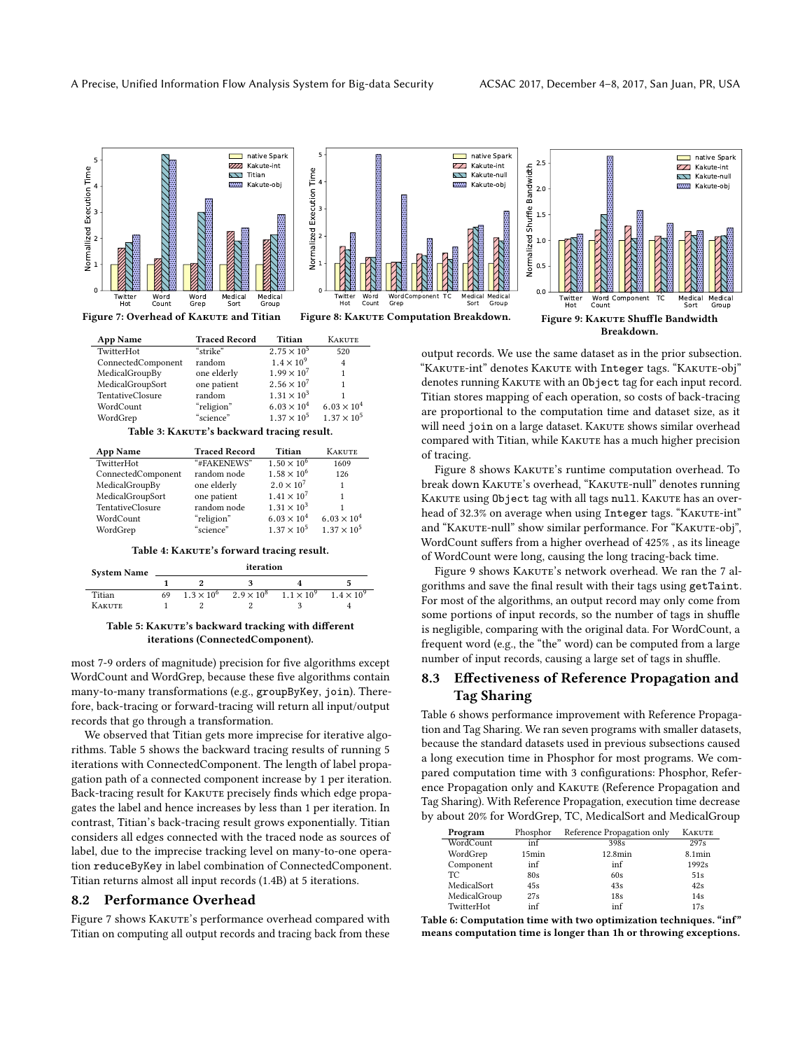<span id="page-8-5"></span>

<span id="page-8-2"></span>

| <b>App Name</b>                            | <b>Traced Record</b> | Titian               | <b>KAKUTE</b>        |  |
|--------------------------------------------|----------------------|----------------------|----------------------|--|
| TwitterHot                                 | "strike"             | $2.75 \times 10^{5}$ | 520                  |  |
| ConnectedComponent                         | random               | $1.4 \times 10^{9}$  | $\overline{4}$       |  |
| MedicalGroupBy                             | one elderly          | $1.99 \times 10^{7}$ | 1                    |  |
| MedicalGroupSort                           | one patient          | $2.56 \times 10^{7}$ |                      |  |
| <b>TentativeClosure</b>                    | random               | $1.31 \times 10^{3}$ |                      |  |
| WordCount                                  | "religion"           | $6.03 \times 10^{4}$ | $6.03 \times 10^{4}$ |  |
| WordGrep                                   | "science"            | $1.37 \times 10^{5}$ | $1.37 \times 10^{5}$ |  |
| Table 3: KAKUTE's backward tracing result. |                      |                      |                      |  |

<span id="page-8-3"></span>

| <b>App Name</b>         | <b>Traced Record</b> | Titian               | <b>KAKUTE</b>        |
|-------------------------|----------------------|----------------------|----------------------|
| TwitterHot              | "#FAKENEWS"          | $1.50 \times 10^{6}$ | 1609                 |
| ConnectedComponent      | random node          | $1.58 \times 10^{6}$ | 126                  |
| MedicalGroupBy          | one elderly          | $2.0 \times 10^{7}$  |                      |
| MedicalGroupSort        | one patient          | $1.41 \times 10^{7}$ |                      |
| <b>TentativeClosure</b> | random node          | $1.31 \times 10^{3}$ |                      |
| WordCount               | "religion"           | $6.03 \times 10^{4}$ | $6.03 \times 10^{4}$ |
| WordGrep                | "science"            | $1.37 \times 10^{5}$ | $1.37 \times 10^{5}$ |
|                         |                      |                      |                      |

Table 4: KAKUTE's forward tracing result.

<span id="page-8-4"></span>

| <b>System Name</b> | iteration |                     |                     |                     |                     |
|--------------------|-----------|---------------------|---------------------|---------------------|---------------------|
|                    |           |                     |                     |                     |                     |
| Titian             | 69        | $1.3 \times 10^{6}$ | $2.9 \times 10^{8}$ | $1.1 \times 10^{9}$ | $1.4 \times 10^{9}$ |
| <b>KAKUTE</b>      |           |                     |                     |                     |                     |

#### Table 5: KAKUTE's backward tracking with different iterations (ConnectedComponent).

most 7-9 orders of magnitude) precision for five algorithms except WordCount and WordGrep, because these five algorithms contain many-to-many transformations (e.g., groupByKey, join). Therefore, back-tracing or forward-tracing will return all input/output records that go through a transformation.

We observed that Titian gets more imprecise for iterative algorithms. Table [5](#page-8-4) shows the backward tracing results of running 5 iterations with ConnectedComponent. The length of label propagation path of a connected component increase by 1 per iteration. Back-tracing result for KAKUTE precisely finds which edge propagates the label and hence increases by less than 1 per iteration. In contrast, Titian's back-tracing result grows exponentially. Titian considers all edges connected with the traced node as sources of label, due to the imprecise tracking level on many-to-one operation reduceByKey in label combination of ConnectedComponent. Titian returns almost all input records (1.4B) at 5 iterations.

#### <span id="page-8-1"></span>8.2 Performance Overhead

Figure [7](#page-8-5) shows KAKUTE's performance overhead compared with Titian on computing all output records and tracing back from these

output records. We use the same dataset as in the prior subsection. "KAKUTE-int" denotes KAKUTE with Integer tags. "KAKUTE-obj" denotes running KAKUTE with an Object tag for each input record. Titian stores mapping of each operation, so costs of back-tracing are proportional to the computation time and dataset size, as it will need join on a large dataset. KAKUTE shows similar overhead compared with Titian, while KAKUTE has a much higher precision of tracing.

Figure [8](#page-8-5) shows KAKUTE's runtime computation overhead. To break down KAKUTE's overhead, "KAKUTE-null" denotes running KAKUTE using Object tag with all tags null. KAKUTE has an overhead of 32.3% on average when using Integer tags. "KAKUTE-int" and "KAKUTE-null" show similar performance. For "KAKUTE-obj", WordCount suffers from a higher overhead of 425% , as its lineage of WordCount were long, causing the long tracing-back time.

Figure [9](#page-8-5) shows KAKUTE's network overhead. We ran the 7 algorithms and save the final result with their tags using getTaint. For most of the algorithms, an output record may only come from some portions of input records, so the number of tags in shuffle is negligible, comparing with the original data. For WordCount, a frequent word (e.g., the "the" word) can be computed from a large number of input records, causing a large set of tags in shuffle.

# <span id="page-8-0"></span>8.3 Effectiveness of Reference Propagation and Tag Sharing

Table [6](#page-8-6) shows performance improvement with Reference Propagation and Tag Sharing. We ran seven programs with smaller datasets, because the standard datasets used in previous subsections caused a long execution time in Phosphor for most programs. We compared computation time with 3 configurations: Phosphor, Reference Propagation only and KAKUTE (Reference Propagation and Tag Sharing). With Reference Propagation, execution time decrease by about 20% for WordGrep, TC, MedicalSort and MedicalGroup

<span id="page-8-6"></span>

| Program      | Phosphor | Reference Propagation only | <b>KAKUTE</b> |
|--------------|----------|----------------------------|---------------|
| WordCount    | inf      | 398s                       | 297s          |
| WordGrep     | 15min    | 12.8min                    | $8.1$ min     |
| Component    | inf      | inf                        | 1992s         |
| TC.          | 80s      | 60s                        | 51s           |
| MedicalSort  | 45s      | 43s                        | 42s           |
| MedicalGroup | 27s      | 18s                        | 14s           |
| TwitterHot   | inf      | inf                        | 17s           |

Table 6: Computation time with two optimization techniques. "inf" means computation time is longer than 1h or throwing exceptions.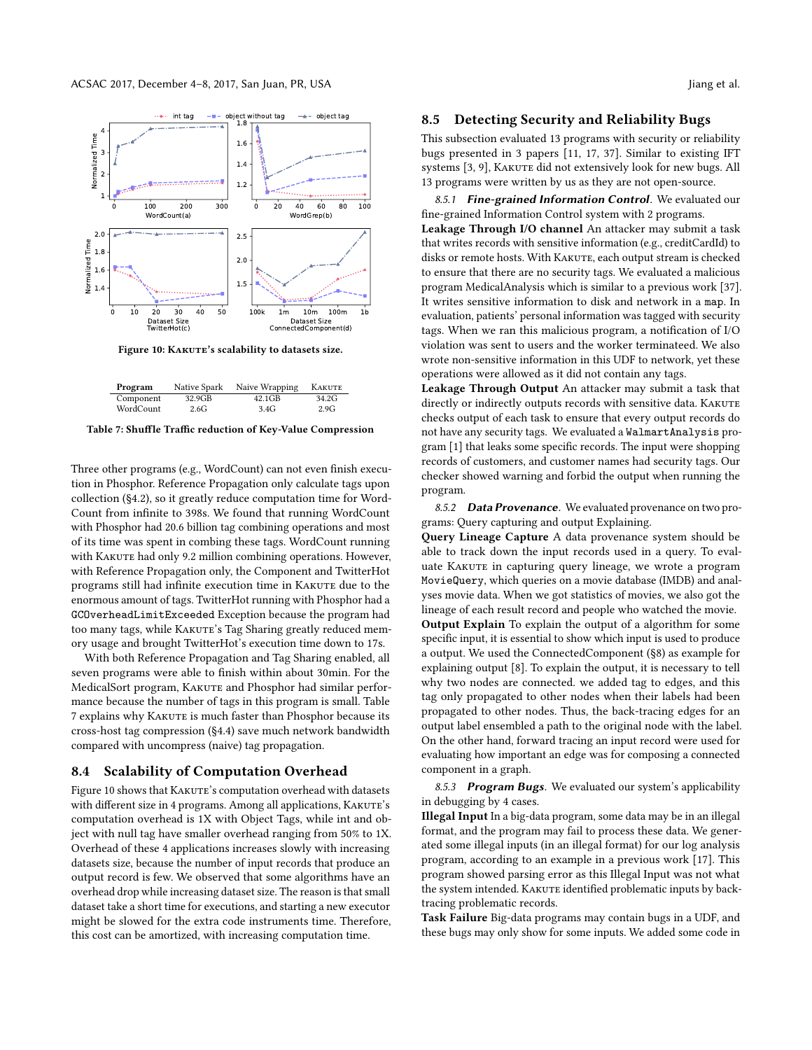<span id="page-9-3"></span>

Figure 10: KAKUTE's scalability to datasets size.

<span id="page-9-2"></span>

Table 7: Shuffle Traffic reduction of Key-Value Compression

Three other programs (e.g., WordCount) can not even finish execution in Phosphor. Reference Propagation only calculate tags upon collection ([§4.2\)](#page-3-1), so it greatly reduce computation time for Word-Count from infinite to 398s. We found that running WordCount with Phosphor had 20.6 billion tag combining operations and most of its time was spent in combing these tags. WordCount running with KAKUTE had only 9.2 million combining operations. However, with Reference Propagation only, the Component and TwitterHot programs still had infinite execution time in KAKUTE due to the enormous amount of tags. TwitterHot running with Phosphor had a GCOverheadLimitExceeded Exception because the program had too many tags, while KAKUTE's Tag Sharing greatly reduced memory usage and brought TwitterHot's execution time down to 17s.

With both Reference Propagation and Tag Sharing enabled, all seven programs were able to finish within about 30min. For the MedicalSort program, KAKUTE and Phosphor had similar performance because the number of tags in this program is small. Table [7](#page-9-2) explains why KAKUTE is much faster than Phosphor because its cross-host tag compression ([§4.4\)](#page-4-1) save much network bandwidth compared with uncompress (naive) tag propagation.

#### <span id="page-9-0"></span>8.4 Scalability of Computation Overhead

Figure [10](#page-9-3) shows that KAKUTE's computation overhead with datasets with different size in 4 programs. Among all applications, KAKUTE's computation overhead is 1X with Object Tags, while int and object with null tag have smaller overhead ranging from 50% to 1X. Overhead of these 4 applications increases slowly with increasing datasets size, because the number of input records that produce an output record is few. We observed that some algorithms have an overhead drop while increasing dataset size. The reason is that small dataset take a short time for executions, and starting a new executor might be slowed for the extra code instruments time. Therefore, this cost can be amortized, with increasing computation time.

#### <span id="page-9-1"></span>8.5 Detecting Security and Reliability Bugs

This subsection evaluated 13 programs with security or reliability bugs presented in 3 papers [\[11,](#page-11-21) [17,](#page-11-19) [37\]](#page-11-22). Similar to existing IFT systems [\[3,](#page-11-15) [9\]](#page-11-11), KAKUTE did not extensively look for new bugs. All 13 programs were written by us as they are not open-source.

8.5.1 Fine-grained Information Control. We evaluated our fine-grained Information Control system with 2 programs. Leakage Through I/O channel An attacker may submit a task that writes records with sensitive information (e.g., creditCardId) to disks or remote hosts. With KAKUTE, each output stream is checked to ensure that there are no security tags. We evaluated a malicious program MedicalAnalysis which is similar to a previous work [\[37\]](#page-11-22). It writes sensitive information to disk and network in a map. In evaluation, patients' personal information was tagged with security tags. When we ran this malicious program, a notification of I/O violation was sent to users and the worker terminateed. We also wrote non-sensitive information in this UDF to network, yet these operations were allowed as it did not contain any tags.

Leakage Through Output An attacker may submit a task that directly or indirectly outputs records with sensitive data. KAKUTE checks output of each task to ensure that every output records do not have any security tags. We evaluated a WalmartAnalysis program [\[1\]](#page-10-0) that leaks some specific records. The input were shopping records of customers, and customer names had security tags. Our checker showed warning and forbid the output when running the program.

8.5.2 Data Provenance. We evaluated provenance on two programs: Query capturing and output Explaining.

Query Lineage Capture A data provenance system should be able to track down the input records used in a query. To evaluate KAKUTE in capturing query lineage, we wrote a program MovieQuery, which queries on a movie database (IMDB) and analyses movie data. When we got statistics of movies, we also got the lineage of each result record and people who watched the movie. Output Explain To explain the output of a algorithm for some specific input, it is essential to show which input is used to produce a output. We used the ConnectedComponent ([§8\)](#page-7-0) as example for explaining output [\[8\]](#page-11-20). To explain the output, it is necessary to tell why two nodes are connected. we added tag to edges, and this tag only propagated to other nodes when their labels had been propagated to other nodes. Thus, the back-tracing edges for an output label ensembled a path to the original node with the label. On the other hand, forward tracing an input record were used for evaluating how important an edge was for composing a connected component in a graph.

8.5.3 Program Bugs. We evaluated our system's applicability in debugging by 4 cases.

Illegal Input In a big-data program, some data may be in an illegal format, and the program may fail to process these data. We generated some illegal inputs (in an illegal format) for our log analysis program, according to an example in a previous work [\[17\]](#page-11-19). This program showed parsing error as this Illegal Input was not what the system intended. KAKUTE identified problematic inputs by backtracing problematic records.

Task Failure Big-data programs may contain bugs in a UDF, and these bugs may only show for some inputs. We added some code in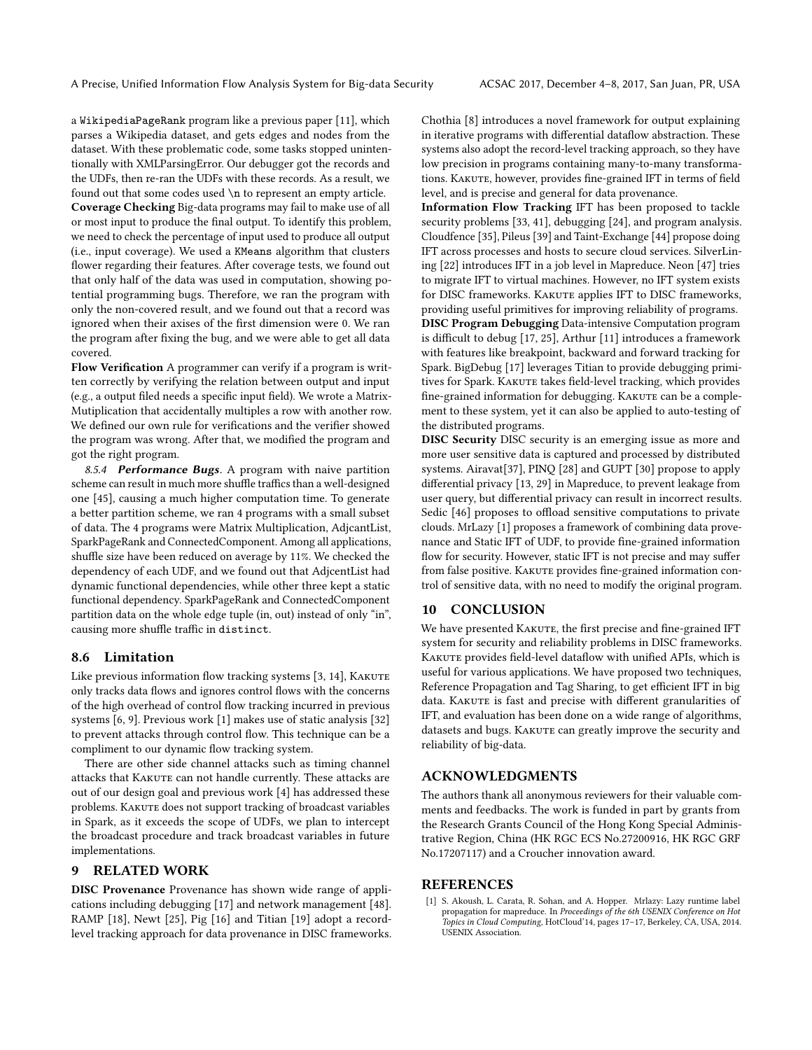a WikipediaPageRank program like a previous paper [\[11\]](#page-11-21), which parses a Wikipedia dataset, and gets edges and nodes from the dataset. With these problematic code, some tasks stopped unintentionally with XMLParsingError. Our debugger got the records and the UDFs, then re-ran the UDFs with these records. As a result, we found out that some codes used \n to represent an empty article. Coverage Checking Big-data programs may fail to make use of all or most input to produce the final output. To identify this problem, we need to check the percentage of input used to produce all output (i.e., input coverage). We used a KMeans algorithm that clusters flower regarding their features. After coverage tests, we found out that only half of the data was used in computation, showing potential programming bugs. Therefore, we ran the program with only the non-covered result, and we found out that a record was ignored when their axises of the first dimension were 0. We ran the program after fixing the bug, and we were able to get all data covered.

Flow Verification A programmer can verify if a program is written correctly by verifying the relation between output and input (e.g., a output filed needs a specific input field). We wrote a Matrix-Mutiplication that accidentally multiples a row with another row. We defined our own rule for verifications and the verifier showed the program was wrong. After that, we modified the program and got the right program.

8.5.4 Performance Bugs. A program with naive partition scheme can result in much more shuffle traffics than a well-designed one [\[45\]](#page-11-30), causing a much higher computation time. To generate a better partition scheme, we ran 4 programs with a small subset of data. The 4 programs were Matrix Multiplication, AdjcantList, SparkPageRank and ConnectedComponent. Among all applications, shuffle size have been reduced on average by 11%. We checked the dependency of each UDF, and we found out that AdjcentList had dynamic functional dependencies, while other three kept a static functional dependency. SparkPageRank and ConnectedComponent partition data on the whole edge tuple (in, out) instead of only "in", causing more shuffle traffic in distinct.

# 8.6 Limitation

Like previous information flow tracking systems [\[3,](#page-11-15) [14\]](#page-11-7), KAKUTE only tracks data flows and ignores control flows with the concerns of the high overhead of control flow tracking incurred in previous systems [\[6,](#page-11-33) [9\]](#page-11-11). Previous work [\[1\]](#page-10-0) makes use of static analysis [\[32\]](#page-11-34) to prevent attacks through control flow. This technique can be a compliment to our dynamic flow tracking system.

There are other side channel attacks such as timing channel attacks that KAKUTE can not handle currently. These attacks are out of our design goal and previous work [\[4\]](#page-11-35) has addressed these problems. KAKUTE does not support tracking of broadcast variables in Spark, as it exceeds the scope of UDFs, we plan to intercept the broadcast procedure and track broadcast variables in future implementations.

### <span id="page-10-1"></span>9 RELATED WORK

DISC Provenance Provenance has shown wide range of applications including debugging [\[17\]](#page-11-19) and network management [\[48\]](#page-11-36). RAMP [\[18\]](#page-11-37), Newt [\[25\]](#page-11-17), Pig [\[16\]](#page-11-38) and Titian [\[19\]](#page-11-2) adopt a recordlevel tracking approach for data provenance in DISC frameworks.

Chothia [\[8\]](#page-11-20) introduces a novel framework for output explaining in iterative programs with differential dataflow abstraction. These systems also adopt the record-level tracking approach, so they have low precision in programs containing many-to-many transformations. KAKUTE, however, provides fine-grained IFT in terms of field level, and is precise and general for data provenance.

Information Flow Tracking IFT has been proposed to tackle security problems [\[33,](#page-11-6) [41\]](#page-11-8), debugging [\[24\]](#page-11-10), and program analysis. Cloudfence [\[35\]](#page-11-13), Pileus [\[39\]](#page-11-39) and Taint-Exchange [\[44\]](#page-11-40) propose doing IFT across processes and hosts to secure cloud services. SilverLining [\[22\]](#page-11-41) introduces IFT in a job level in Mapreduce. Neon [\[47\]](#page-11-42) tries to migrate IFT to virtual machines. However, no IFT system exists for DISC frameworks. KAKUTE applies IFT to DISC frameworks, providing useful primitives for improving reliability of programs. DISC Program Debugging Data-intensive Computation program is difficult to debug [\[17,](#page-11-19) [25\]](#page-11-17), Arthur [\[11\]](#page-11-21) introduces a framework with features like breakpoint, backward and forward tracking for Spark. BigDebug [\[17\]](#page-11-19) leverages Titian to provide debugging primitives for Spark. KAKUTE takes field-level tracking, which provides fine-grained information for debugging. KAKUTE can be a complement to these system, yet it can also be applied to auto-testing of the distributed programs.

DISC Security DISC security is an emerging issue as more and more user sensitive data is captured and processed by distributed systems. Airavat[\[37\]](#page-11-22), PINQ [\[28\]](#page-11-43) and GUPT [\[30\]](#page-11-44) propose to apply differential privacy [\[13,](#page-11-45) [29\]](#page-11-46) in Mapreduce, to prevent leakage from user query, but differential privacy can result in incorrect results. Sedic [\[46\]](#page-11-47) proposes to offload sensitive computations to private clouds. MrLazy [\[1\]](#page-10-0) proposes a framework of combining data provenance and Static IFT of UDF, to provide fine-grained information flow for security. However, static IFT is not precise and may suffer from false positive. KAKUTE provides fine-grained information control of sensitive data, with no need to modify the original program.

# <span id="page-10-2"></span>10 CONCLUSION

We have presented KAKUTE, the first precise and fine-grained IFT system for security and reliability problems in DISC frameworks. KAKUTE provides field-level dataflow with unified APIs, which is useful for various applications. We have proposed two techniques, Reference Propagation and Tag Sharing, to get efficient IFT in big data. KAKUTE is fast and precise with different granularities of IFT, and evaluation has been done on a wide range of algorithms, datasets and bugs. KAKUTE can greatly improve the security and reliability of big-data.

# ACKNOWLEDGMENTS

The authors thank all anonymous reviewers for their valuable comments and feedbacks. The work is funded in part by grants from the Research Grants Council of the Hong Kong Special Administrative Region, China (HK RGC ECS No.27200916, HK RGC GRF No.17207117) and a Croucher innovation award.

#### **REFERENCES**

<span id="page-10-0"></span>[1] S. Akoush, L. Carata, R. Sohan, and A. Hopper. Mrlazy: Lazy runtime label propagation for mapreduce. In Proceedings of the 6th USENIX Conference on Hot Topics in Cloud Computing, HotCloud'14, pages 17–17, Berkeley, CA, USA, 2014. USENIX Association.